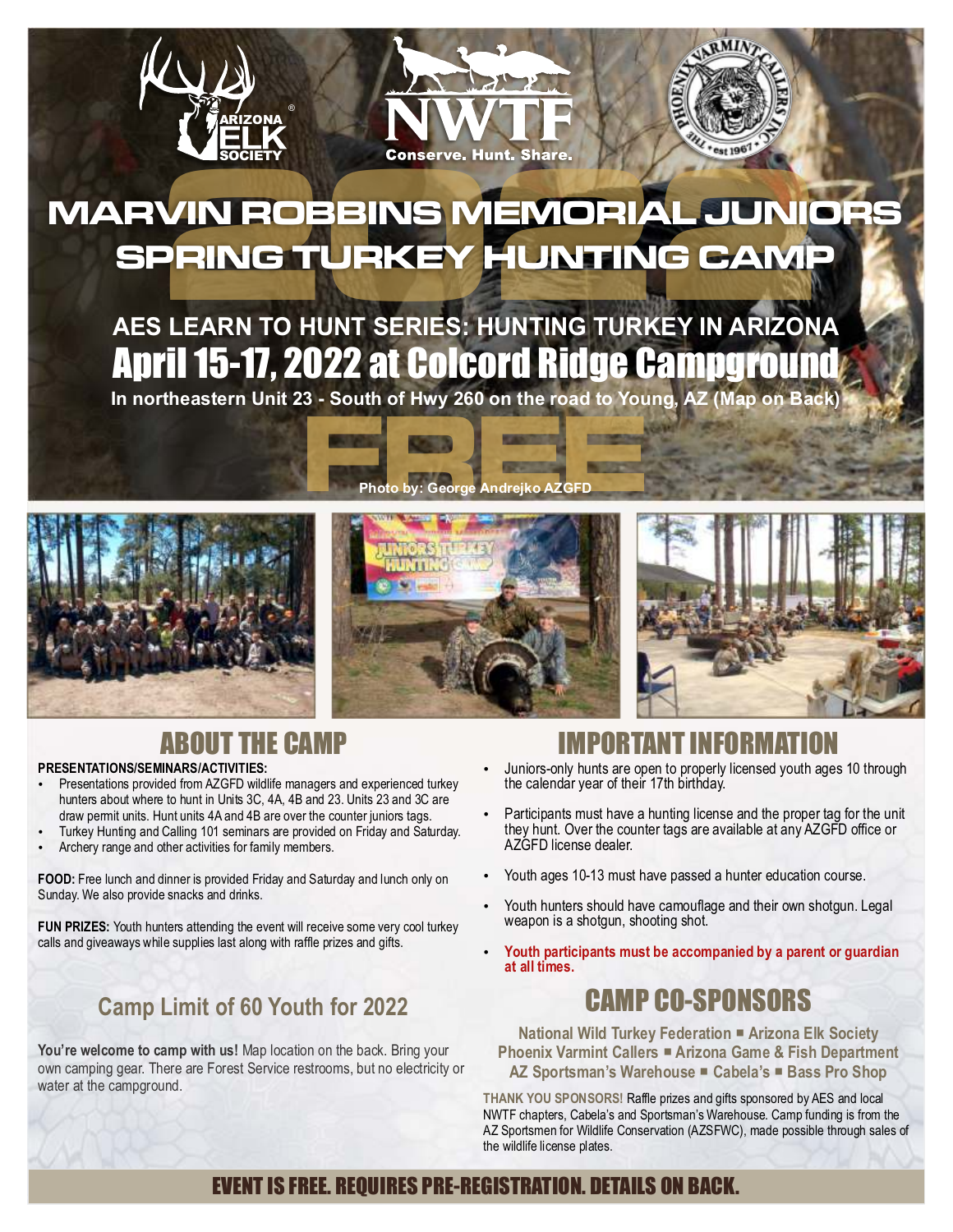

# **VIN ROBBINS MEMORIAL JUNIC<br>PRING TURKEY HUNTING CAMP<br>ELEARN TO HUNT SERIES: HUNTING TURKEY IN ARIZONA MARVIN
ROBBINS
MEMORIAL
JUNIORS SPRING
TURKEY
HUNTING
CAMP**

## April 15-17, 2022 at Colcord Ridge Campground **AES
LEARN
TO
HUNT
SERIES:
HUNTING
TURKEY
IN
ARIZONA**

In northeastern Unit 23 - South of Hwy 260 on the road to Young, AZ (Map on Back)

**Photo
by:
George
Andrejko
AZGFD**







#### T THE CAMP

#### **PRESENTATIONS/SEMINARS/ACTIVITIES:**

- Presentations provided from AZGFD wildlife managers and experienced turkey hunters about where to hunt in Units 3C, 4A, 4B and 23. Units 23 and 3C are draw permit units. Hunt units 4A and 4B are over the counter juniors tags.
- Turkey
Hunting
and
Calling
101
seminars
are
provided
on
Friday
and
Saturday.
- Archery
range
and
other
activities
for
family
members.

FOOD: Free lunch and dinner is provided Friday and Saturday and lunch only on Sunday.
We
also
provide
snacks
and
drinks.

FUN PRIZES: Youth hunters attending the event will receive some very cool turkey calls and giveaways while supplies last along with raffle prizes and gifts.

#### **Camp
Limit
of
60
Youth
for
2022**

You're welcome to camp with us! Map location on the back. Bring your own
camping
gear.
There
are
Forest
Service
restrooms,
but
no
electricity
or water at the campground.

- Juniors-only hunts are open to properly licensed youth ages 10 through the calendar year of their 17th birthday.
- Participants must have a hunting license and the proper tag for the unit they
hunt.
Over
the
counter
tags
are
available
at
any
AZGFD
office
or AZGFD
license
dealer.
- Youth ages 10-13 must have passed a hunter education course.
- Youth hunters should have camouflage and their own shotgun. Legal weapon
is
a
shotgun,
shooting
shot.
- Youth participants must be accompanied by a parent or guardian **at
all
times.**

#### CAMP
CO‑SPONSORS

**National
Wild
Turkey
Federation Arizona
Elk
Society Phoenix Varmint Callers · Arizona Game & Fish Department AZ
Sportsman's
Warehouse Cabela's Bass
Pro
Shop**

THANK YOU SPONSORS! Raffle prizes and gifts sponsored by AES and local NWTF
chapters,
Cabela's
and
Sportsman's
Warehouse.
Camp
funding
is
from
the AZ Sportsmen for Wildlife Conservation (AZSFWC), made possible through sales of the
wildlife
license
plates.

#### EVENT IS FREE. REQUIRES PRE-REGISTRATION. DETAILS ON BACK.